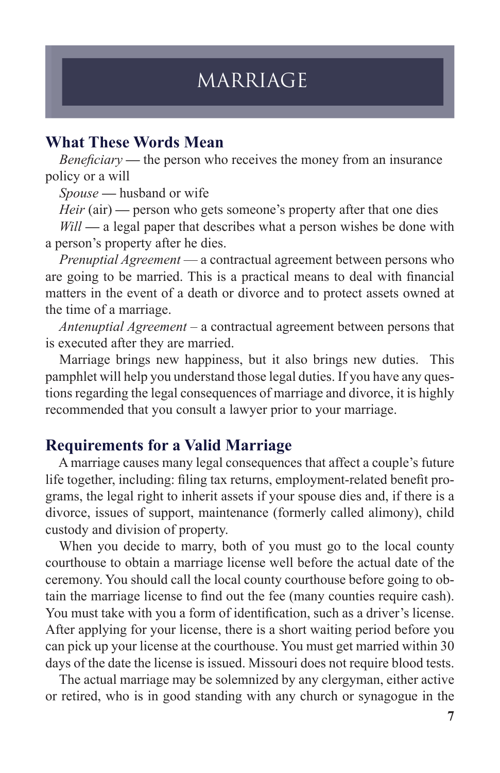# MARRIAGE

## **What These Words Mean**

*Beneficiary* — the person who receives the money from an insurance policy or a will

*Spouse* **—** husband or wife

*Heir* (air) — person who gets someone's property after that one dies

*Will* — a legal paper that describes what a person wishes be done with a person's property after he dies.

 *Prenuptial Agreement* — a contractual agreement between persons who are going to be married. This is a practical means to deal with financial matters in the event of a death or divorce and to protect assets owned at the time of a marriage.

 *Antenuptial Agreement –* a contractual agreement between persons that is executed after they are married.

Marriage brings new happiness, but it also brings new duties. This pamphlet will help you understand those legal duties. If you have any questions regarding the legal consequences of marriage and divorce, it is highly recommended that you consult a lawyer prior to your marriage.

## **Requirements for a Valid Marriage**

A marriage causes many legal consequences that affect a couple's future life together, including: filing tax returns, employment-related benefit programs, the legal right to inherit assets if your spouse dies and, if there is a divorce, issues of support, maintenance (formerly called alimony), child custody and division of property.

When you decide to marry, both of you must go to the local county courthouse to obtain a marriage license well before the actual date of the ceremony. You should call the local county courthouse before going to obtain the marriage license to find out the fee (many counties require cash). You must take with you a form of identification, such as a driver's license. After applying for your license, there is a short waiting period before you can pick up your license at the courthouse. You must get married within 30 days of the date the license is issued. Missouri does not require blood tests.

The actual marriage may be solemnized by any clergyman, either active or retired, who is in good standing with any church or synagogue in the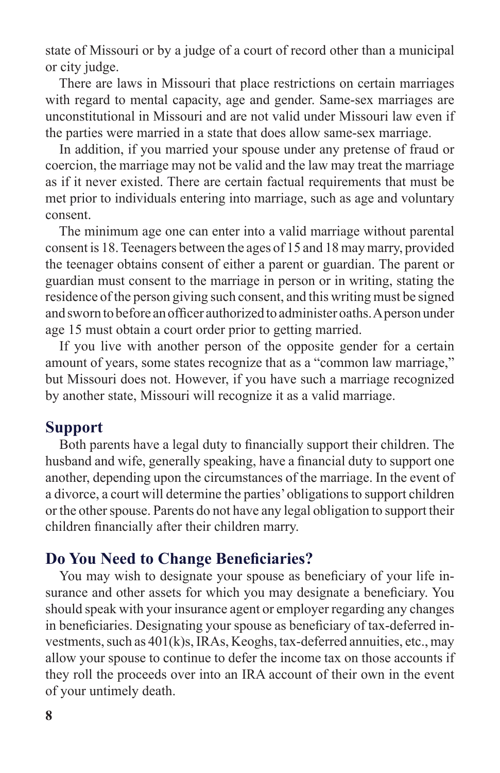state of Missouri or by a judge of a court of record other than a municipal or city judge.

There are laws in Missouri that place restrictions on certain marriages with regard to mental capacity, age and gender. Same-sex marriages are unconstitutional in Missouri and are not valid under Missouri law even if the parties were married in a state that does allow same-sex marriage.

In addition, if you married your spouse under any pretense of fraud or coercion, the marriage may not be valid and the law may treat the marriage as if it never existed. There are certain factual requirements that must be met prior to individuals entering into marriage, such as age and voluntary consent.

The minimum age one can enter into a valid marriage without parental consent is 18. Teenagers between the ages of 15 and 18 may marry, provided the teenager obtains consent of either a parent or guardian. The parent or guardian must consent to the marriage in person or in writing, stating the residence of the person giving such consent, and this writing must be signed and sworn to before an officer authorized to administer oaths. A person under age 15 must obtain a court order prior to getting married.

If you live with another person of the opposite gender for a certain amount of years, some states recognize that as a "common law marriage," but Missouri does not. However, if you have such a marriage recognized by another state, Missouri will recognize it as a valid marriage.

#### **Support**

Both parents have a legal duty to financially support their children. The husband and wife, generally speaking, have a financial duty to support one another, depending upon the circumstances of the marriage. In the event of a divorce, a court will determine the parties' obligations to support children or the other spouse. Parents do not have any legal obligation to support their children financially after their children marry.

#### **Do You Need to Change Beneficiaries?**

You may wish to designate your spouse as beneficiary of your life insurance and other assets for which you may designate a beneficiary. You should speak with your insurance agent or employer regarding any changes in beneficiaries. Designating your spouse as beneficiary of tax-deferred investments, such as 401(k)s, IRAs, Keoghs, tax-deferred annuities, etc., may allow your spouse to continue to defer the income tax on those accounts if they roll the proceeds over into an IRA account of their own in the event of your untimely death.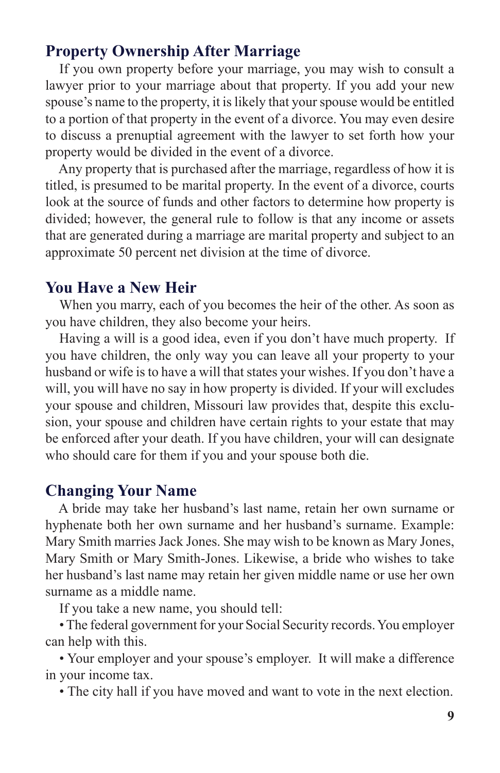## **Property Ownership After Marriage**

If you own property before your marriage, you may wish to consult a lawyer prior to your marriage about that property. If you add your new spouse's name to the property, it is likely that your spouse would be entitled to a portion of that property in the event of a divorce. You may even desire to discuss a prenuptial agreement with the lawyer to set forth how your property would be divided in the event of a divorce.

Any property that is purchased after the marriage, regardless of how it is titled, is presumed to be marital property. In the event of a divorce, courts look at the source of funds and other factors to determine how property is divided; however, the general rule to follow is that any income or assets that are generated during a marriage are marital property and subject to an approximate 50 percent net division at the time of divorce.

#### **You Have a New Heir**

When you marry, each of you becomes the heir of the other. As soon as you have children, they also become your heirs.

Having a will is a good idea, even if you don't have much property. If you have children, the only way you can leave all your property to your husband or wife is to have a will that states your wishes. If you don't have a will, you will have no say in how property is divided. If your will excludes your spouse and children, Missouri law provides that, despite this exclusion, your spouse and children have certain rights to your estate that may be enforced after your death. If you have children, your will can designate who should care for them if you and your spouse both die.

#### **Changing Your Name**

A bride may take her husband's last name, retain her own surname or hyphenate both her own surname and her husband's surname. Example: Mary Smith marries Jack Jones. She may wish to be known as Mary Jones, Mary Smith or Mary Smith-Jones. Likewise, a bride who wishes to take her husband's last name may retain her given middle name or use her own surname as a middle name.

If you take a new name, you should tell:

• The federal government for your Social Security records. You employer can help with this.

• Your employer and your spouse's employer. It will make a difference in your income tax.

• The city hall if you have moved and want to vote in the next election.